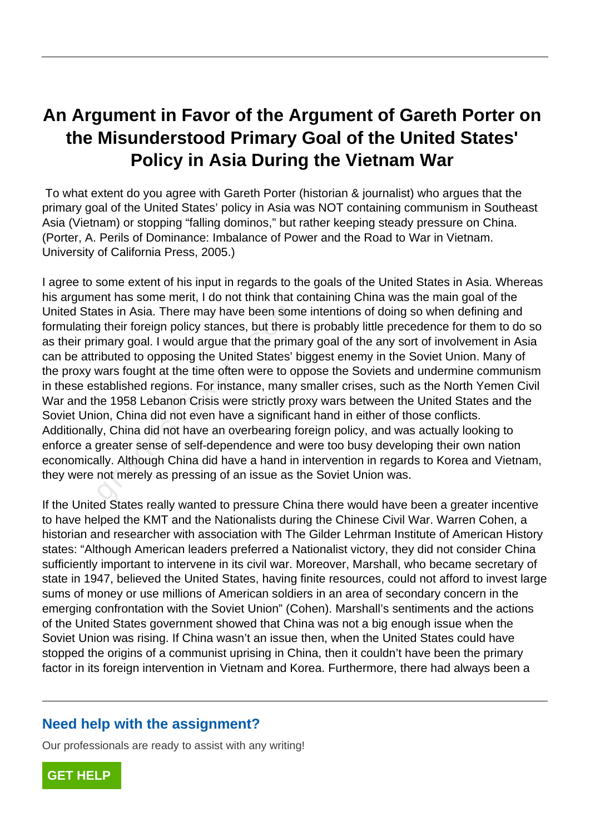## **An Argument in Favor of the Argument of Gareth Porter on the Misunderstood Primary Goal of the United States' Policy in Asia During the Vietnam War**

 To what extent do you agree with Gareth Porter (historian & journalist) who argues that the primary goal of the United States' policy in Asia was NOT containing communism in Southeast Asia (Vietnam) or stopping "falling dominos," but rather keeping steady pressure on China. (Porter, A. Perils of Dominance: Imbalance of Power and the Road to War in Vietnam. University of California Press, 2005.)

I agree to some extent of his input in regards to the goals of the United States in Asia. Whereas his argument has some merit, I do not think that containing China was the main goal of the United States in Asia. There may have been some intentions of doing so when defining and formulating their foreign policy stances, but there is probably little precedence for them to do so as their primary goal. I would argue that the primary goal of the any sort of involvement in Asia can be attributed to opposing the United States' biggest enemy in the Soviet Union. Many of the proxy wars fought at the time often were to oppose the Soviets and undermine communism in these established regions. For instance, many smaller crises, such as the North Yemen Civil War and the 1958 Lebanon Crisis were strictly proxy wars between the United States and the Soviet Union, China did not even have a significant hand in either of those conflicts. Additionally, China did not have an overbearing foreign policy, and was actually looking to enforce a greater sense of self-dependence and were too busy developing their own nation economically. Although China did have a hand in intervention in regards to Korea and Vietnam, they were not merely as pressing of an issue as the Soviet Union was. tes in Asia. There may have been som<br>g their foreign policy stances, but there<br>imary goal. I would argue that the prima-<br>ributed to opposing the United States' t<br>wars fought at the time often were to op<br>stablished regions.

If the United States really wanted to pressure China there would have been a greater incentive to have helped the KMT and the Nationalists during the Chinese Civil War. Warren Cohen, a historian and researcher with association with The Gilder Lehrman Institute of American History states: "Although American leaders preferred a Nationalist victory, they did not consider China sufficiently important to intervene in its civil war. Moreover, Marshall, who became secretary of state in 1947, believed the United States, having finite resources, could not afford to invest large sums of money or use millions of American soldiers in an area of secondary concern in the emerging confrontation with the Soviet Union" (Cohen). Marshall's sentiments and the actions of the United States government showed that China was not a big enough issue when the Soviet Union was rising. If China wasn't an issue then, when the United States could have stopped the origins of a communist uprising in China, then it couldn't have been the primary factor in its foreign intervention in Vietnam and Korea. Furthermore, there had always been a

## **Need help with the assignment?**

Our professionals are ready to assist with any writing!

**[GET HELP](https://my.gradesfixer.com/order?utm_campaign=pdf_sample)**